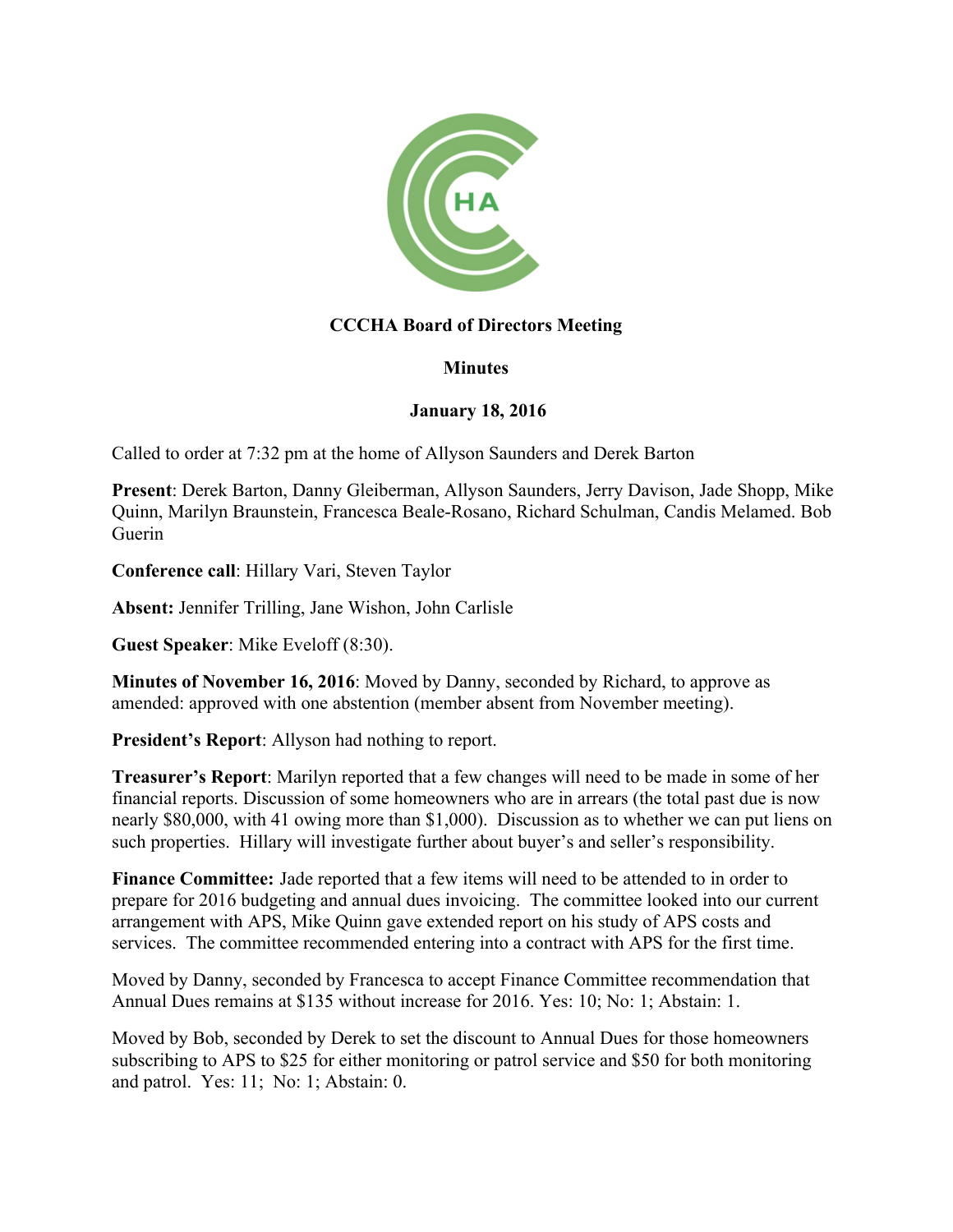

## **CCCHA Board of Directors Meeting**

## **Minutes**

## **January 18, 2016**

Called to order at 7:32 pm at the home of Allyson Saunders and Derek Barton

**Present**: Derek Barton, Danny Gleiberman, Allyson Saunders, Jerry Davison, Jade Shopp, Mike Quinn, Marilyn Braunstein, Francesca Beale-Rosano, Richard Schulman, Candis Melamed. Bob Guerin

**Conference call**: Hillary Vari, Steven Taylor

**Absent:** Jennifer Trilling, Jane Wishon, John Carlisle

**Guest Speaker**: Mike Eveloff (8:30).

**Minutes of November 16, 2016**: Moved by Danny, seconded by Richard, to approve as amended: approved with one abstention (member absent from November meeting).

**President's Report**: Allyson had nothing to report.

**Treasurer's Report**: Marilyn reported that a few changes will need to be made in some of her financial reports. Discussion of some homeowners who are in arrears (the total past due is now nearly \$80,000, with 41 owing more than \$1,000). Discussion as to whether we can put liens on such properties. Hillary will investigate further about buyer's and seller's responsibility.

**Finance Committee:** Jade reported that a few items will need to be attended to in order to prepare for 2016 budgeting and annual dues invoicing. The committee looked into our current arrangement with APS, Mike Quinn gave extended report on his study of APS costs and services. The committee recommended entering into a contract with APS for the first time.

Moved by Danny, seconded by Francesca to accept Finance Committee recommendation that Annual Dues remains at \$135 without increase for 2016. Yes: 10; No: 1; Abstain: 1.

Moved by Bob, seconded by Derek to set the discount to Annual Dues for those homeowners subscribing to APS to \$25 for either monitoring or patrol service and \$50 for both monitoring and patrol. Yes: 11; No: 1; Abstain: 0.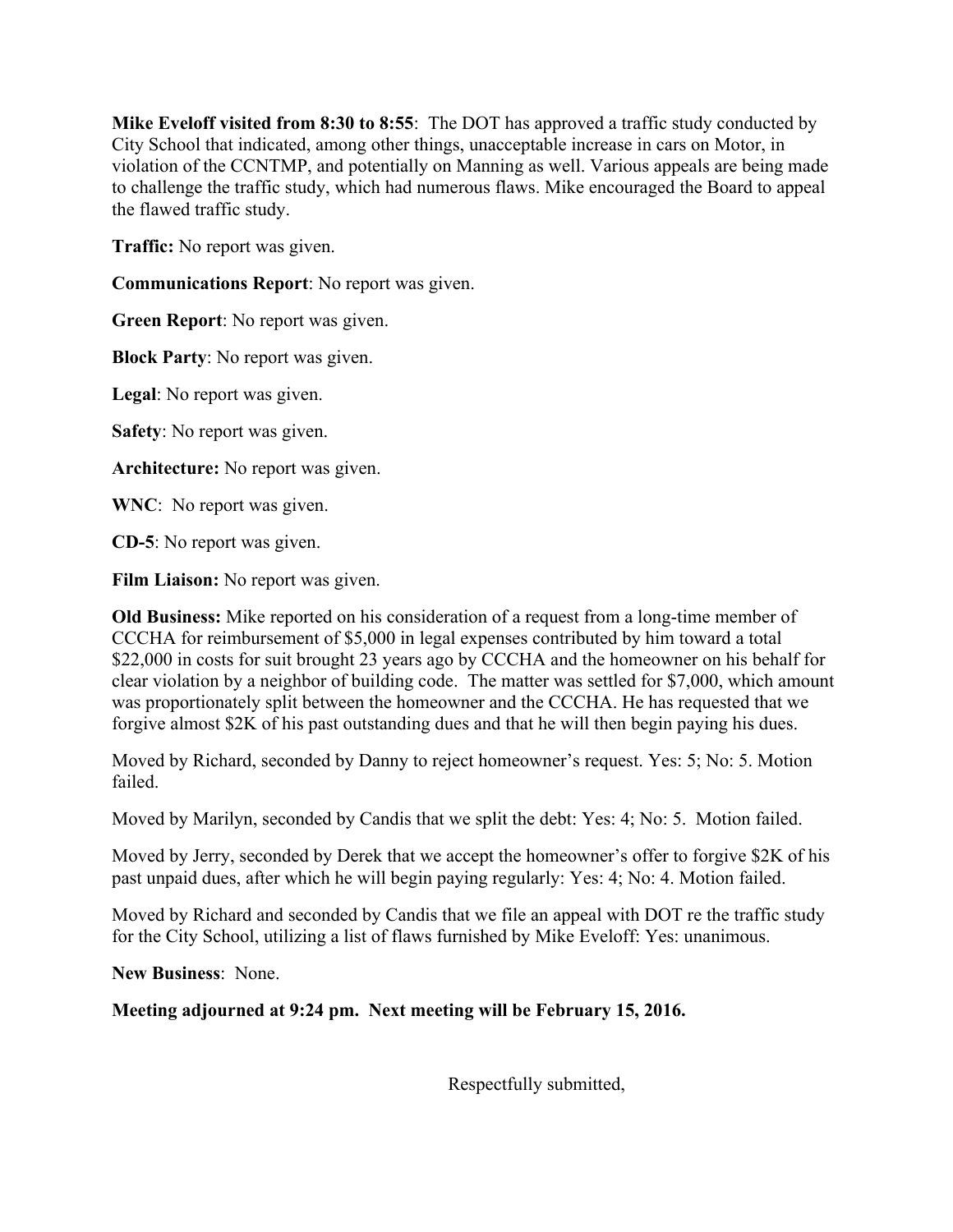**Mike Eveloff visited from 8:30 to 8:55**: The DOT has approved a traffic study conducted by City School that indicated, among other things, unacceptable increase in cars on Motor, in violation of the CCNTMP, and potentially on Manning as well. Various appeals are being made to challenge the traffic study, which had numerous flaws. Mike encouraged the Board to appeal the flawed traffic study.

**Traffic:** No report was given.

**Communications Report**: No report was given.

**Green Report**: No report was given.

**Block Party**: No report was given.

**Legal**: No report was given.

**Safety**: No report was given.

**Architecture:** No report was given.

**WNC**: No report was given.

**CD-5**: No report was given.

**Film Liaison:** No report was given.

**Old Business:** Mike reported on his consideration of a request from a long-time member of CCCHA for reimbursement of \$5,000 in legal expenses contributed by him toward a total \$22,000 in costs for suit brought 23 years ago by CCCHA and the homeowner on his behalf for clear violation by a neighbor of building code. The matter was settled for \$7,000, which amount was proportionately split between the homeowner and the CCCHA. He has requested that we forgive almost \$2K of his past outstanding dues and that he will then begin paying his dues.

Moved by Richard, seconded by Danny to reject homeowner's request. Yes: 5; No: 5. Motion failed.

Moved by Marilyn, seconded by Candis that we split the debt: Yes: 4; No: 5. Motion failed.

Moved by Jerry, seconded by Derek that we accept the homeowner's offer to forgive \$2K of his past unpaid dues, after which he will begin paying regularly: Yes: 4; No: 4. Motion failed.

Moved by Richard and seconded by Candis that we file an appeal with DOT re the traffic study for the City School, utilizing a list of flaws furnished by Mike Eveloff: Yes: unanimous.

**New Business**: None.

**Meeting adjourned at 9:24 pm. Next meeting will be February 15, 2016.**

Respectfully submitted,